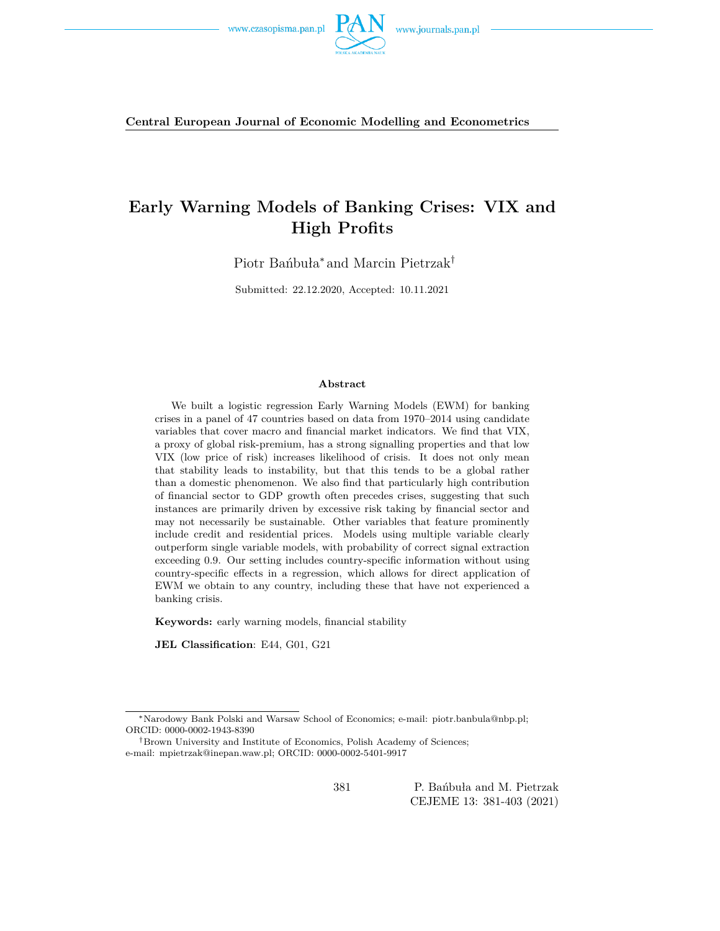

**Central European Journal of Economic Modelling and Econometrics**

## **Early Warning Models of Banking Crises: VIX and High Profits**

Piotr Bańbuła<sup>∗</sup> and Marcin Pietrzak†

Submitted: 22.12.2020, Accepted: 10.11.2021

#### **Abstract**

We built a logistic regression Early Warning Models (EWM) for banking crises in a panel of 47 countries based on data from 1970–2014 using candidate variables that cover macro and financial market indicators. We find that VIX, a proxy of global risk-premium, has a strong signalling properties and that low VIX (low price of risk) increases likelihood of crisis. It does not only mean that stability leads to instability, but that this tends to be a global rather than a domestic phenomenon. We also find that particularly high contribution of financial sector to GDP growth often precedes crises, suggesting that such instances are primarily driven by excessive risk taking by financial sector and may not necessarily be sustainable. Other variables that feature prominently include credit and residential prices. Models using multiple variable clearly outperform single variable models, with probability of correct signal extraction exceeding 0.9. Our setting includes country-specific information without using country-specific effects in a regression, which allows for direct application of EWM we obtain to any country, including these that have not experienced a banking crisis.

**Keywords:** early warning models, financial stability

**JEL Classification**: E44, G01, G21

<sup>∗</sup>Narodowy Bank Polski and Warsaw School of Economics; e-mail: piotr.banbula@nbp.pl; ORCID: 0000-0002-1943-8390

<sup>†</sup>Brown University and Institute of Economics, Polish Academy of Sciences; e-mail: mpietrzak@inepan.waw.pl; ORCID: 0000-0002-5401-9917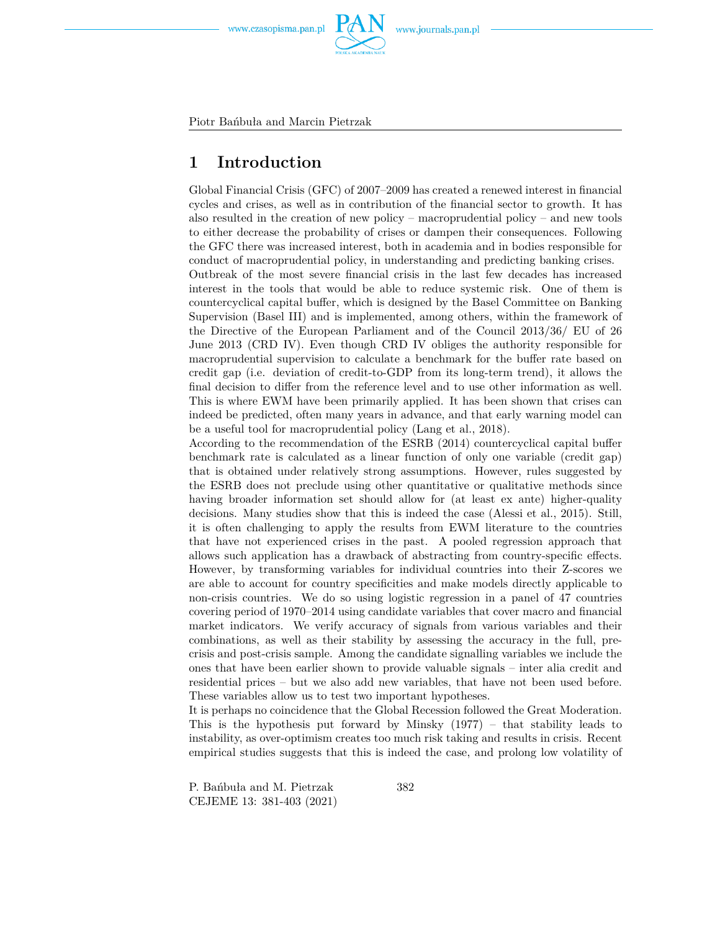

Piotr Bańbuła and Marcin Pietrzak

### **1 Introduction**

Global Financial Crisis (GFC) of 2007–2009 has created a renewed interest in financial cycles and crises, as well as in contribution of the financial sector to growth. It has also resulted in the creation of new policy – macroprudential policy – and new tools to either decrease the probability of crises or dampen their consequences. Following the GFC there was increased interest, both in academia and in bodies responsible for conduct of macroprudential policy, in understanding and predicting banking crises.

Outbreak of the most severe financial crisis in the last few decades has increased interest in the tools that would be able to reduce systemic risk. One of them is countercyclical capital buffer, which is designed by the Basel Committee on Banking Supervision (Basel III) and is implemented, among others, within the framework of the Directive of the European Parliament and of the Council 2013/36/ EU of 26 June 2013 (CRD IV). Even though CRD IV obliges the authority responsible for macroprudential supervision to calculate a benchmark for the buffer rate based on credit gap (i.e. deviation of credit-to-GDP from its long-term trend), it allows the final decision to differ from the reference level and to use other information as well. This is where EWM have been primarily applied. It has been shown that crises can indeed be predicted, often many years in advance, and that early warning model can be a useful tool for macroprudential policy (Lang et al., 2018).

According to the recommendation of the ESRB (2014) countercyclical capital buffer benchmark rate is calculated as a linear function of only one variable (credit gap) that is obtained under relatively strong assumptions. However, rules suggested by the ESRB does not preclude using other quantitative or qualitative methods since having broader information set should allow for (at least ex ante) higher-quality decisions. Many studies show that this is indeed the case (Alessi et al., 2015). Still, it is often challenging to apply the results from EWM literature to the countries that have not experienced crises in the past. A pooled regression approach that allows such application has a drawback of abstracting from country-specific effects. However, by transforming variables for individual countries into their Z-scores we are able to account for country specificities and make models directly applicable to non-crisis countries. We do so using logistic regression in a panel of 47 countries covering period of 1970–2014 using candidate variables that cover macro and financial market indicators. We verify accuracy of signals from various variables and their combinations, as well as their stability by assessing the accuracy in the full, precrisis and post-crisis sample. Among the candidate signalling variables we include the ones that have been earlier shown to provide valuable signals – inter alia credit and residential prices – but we also add new variables, that have not been used before. These variables allow us to test two important hypotheses.

It is perhaps no coincidence that the Global Recession followed the Great Moderation. This is the hypothesis put forward by Minsky (1977) – that stability leads to instability, as over-optimism creates too much risk taking and results in crisis. Recent empirical studies suggests that this is indeed the case, and prolong low volatility of

P. Bańbuła and M. Pietrzak CEJEME 13: 381-403 (2021)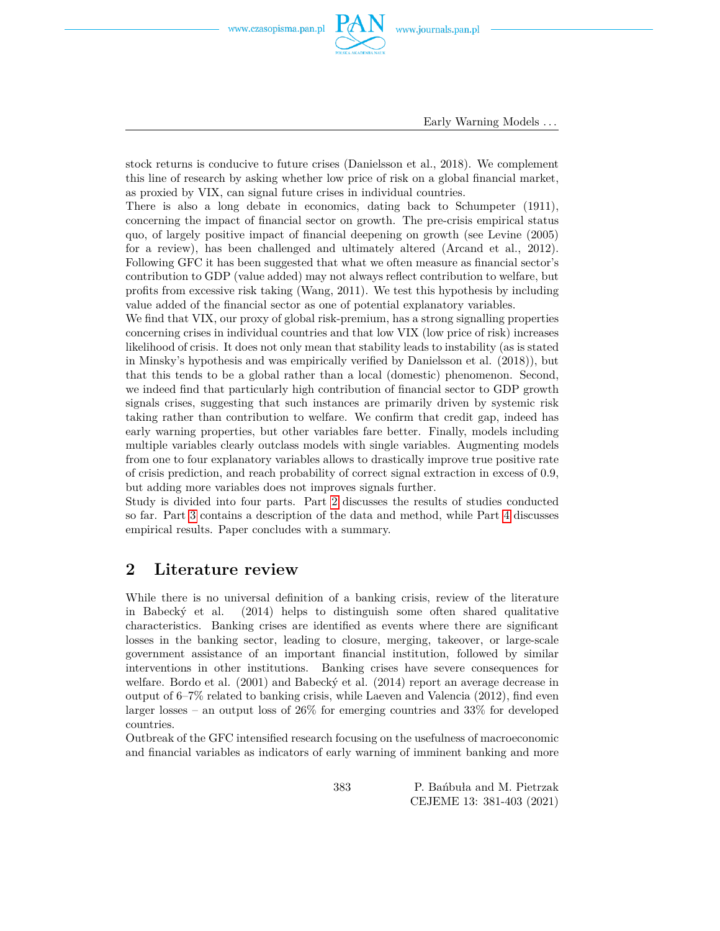

Early Warning Models *. . .*

stock returns is conducive to future crises (Danielsson et al., 2018). We complement this line of research by asking whether low price of risk on a global financial market, as proxied by VIX, can signal future crises in individual countries.

There is also a long debate in economics, dating back to Schumpeter (1911), concerning the impact of financial sector on growth. The pre-crisis empirical status quo, of largely positive impact of financial deepening on growth (see Levine (2005) for a review), has been challenged and ultimately altered (Arcand et al., 2012). Following GFC it has been suggested that what we often measure as financial sector's contribution to GDP (value added) may not always reflect contribution to welfare, but profits from excessive risk taking (Wang, 2011). We test this hypothesis by including value added of the financial sector as one of potential explanatory variables.

We find that VIX, our proxy of global risk-premium, has a strong signalling properties concerning crises in individual countries and that low VIX (low price of risk) increases likelihood of crisis. It does not only mean that stability leads to instability (as is stated in Minsky's hypothesis and was empirically verified by Danielsson et al. (2018)), but that this tends to be a global rather than a local (domestic) phenomenon. Second, we indeed find that particularly high contribution of financial sector to GDP growth signals crises, suggesting that such instances are primarily driven by systemic risk taking rather than contribution to welfare. We confirm that credit gap, indeed has early warning properties, but other variables fare better. Finally, models including multiple variables clearly outclass models with single variables. Augmenting models from one to four explanatory variables allows to drastically improve true positive rate of crisis prediction, and reach probability of correct signal extraction in excess of 0.9, but adding more variables does not improves signals further.

Study is divided into four parts. Part [2](#page-2-0) discusses the results of studies conducted so far. Part [3](#page-4-0) contains a description of the data and method, while Part [4](#page-10-0) discusses empirical results. Paper concludes with a summary.

### <span id="page-2-0"></span>**2 Literature review**

While there is no universal definition of a banking crisis, review of the literature in Babecký et al. (2014) helps to distinguish some often shared qualitative characteristics. Banking crises are identified as events where there are significant losses in the banking sector, leading to closure, merging, takeover, or large-scale government assistance of an important financial institution, followed by similar interventions in other institutions. Banking crises have severe consequences for welfare. Bordo et al. (2001) and Babecký et al. (2014) report an average decrease in output of 6–7% related to banking crisis, while Laeven and Valencia (2012), find even larger losses – an output loss of  $26\%$  for emerging countries and  $33\%$  for developed countries.

Outbreak of the GFC intensified research focusing on the usefulness of macroeconomic and financial variables as indicators of early warning of imminent banking and more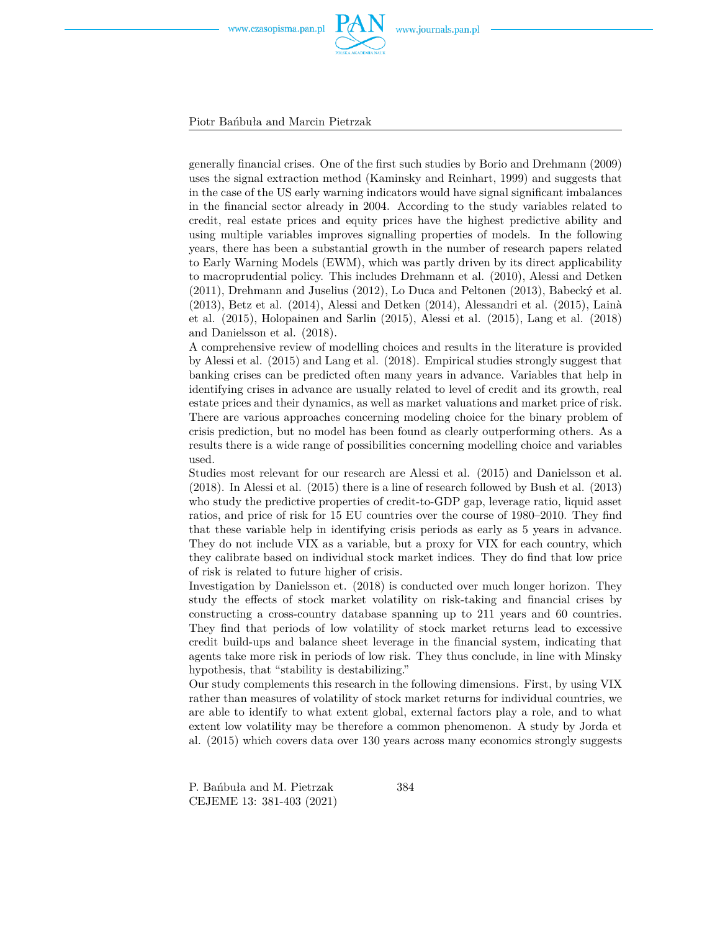

Piotr Bańbuła and Marcin Pietrzak

generally financial crises. One of the first such studies by Borio and Drehmann (2009) uses the signal extraction method (Kaminsky and Reinhart, 1999) and suggests that in the case of the US early warning indicators would have signal significant imbalances in the financial sector already in 2004. According to the study variables related to credit, real estate prices and equity prices have the highest predictive ability and using multiple variables improves signalling properties of models. In the following years, there has been a substantial growth in the number of research papers related to Early Warning Models (EWM), which was partly driven by its direct applicability to macroprudential policy. This includes Drehmann et al. (2010), Alessi and Detken (2011), Drehmann and Juselius (2012), Lo Duca and Peltonen (2013), Babecký et al. (2013), Betz et al. (2014), Alessi and Detken (2014), Alessandri et al. (2015), Lainà et al. (2015), Holopainen and Sarlin (2015), Alessi et al. (2015), Lang et al. (2018) and Danielsson et al. (2018).

A comprehensive review of modelling choices and results in the literature is provided by Alessi et al. (2015) and Lang et al. (2018). Empirical studies strongly suggest that banking crises can be predicted often many years in advance. Variables that help in identifying crises in advance are usually related to level of credit and its growth, real estate prices and their dynamics, as well as market valuations and market price of risk. There are various approaches concerning modeling choice for the binary problem of crisis prediction, but no model has been found as clearly outperforming others. As a results there is a wide range of possibilities concerning modelling choice and variables used.

Studies most relevant for our research are Alessi et al. (2015) and Danielsson et al. (2018). In Alessi et al. (2015) there is a line of research followed by Bush et al. (2013) who study the predictive properties of credit-to-GDP gap, leverage ratio, liquid asset ratios, and price of risk for 15 EU countries over the course of 1980–2010. They find that these variable help in identifying crisis periods as early as 5 years in advance. They do not include VIX as a variable, but a proxy for VIX for each country, which they calibrate based on individual stock market indices. They do find that low price of risk is related to future higher of crisis.

Investigation by Danielsson et. (2018) is conducted over much longer horizon. They study the effects of stock market volatility on risk-taking and financial crises by constructing a cross-country database spanning up to 211 years and 60 countries. They find that periods of low volatility of stock market returns lead to excessive credit build-ups and balance sheet leverage in the financial system, indicating that agents take more risk in periods of low risk. They thus conclude, in line with Minsky hypothesis, that "stability is destabilizing."

Our study complements this research in the following dimensions. First, by using VIX rather than measures of volatility of stock market returns for individual countries, we are able to identify to what extent global, external factors play a role, and to what extent low volatility may be therefore a common phenomenon. A study by Jorda et al. (2015) which covers data over 130 years across many economics strongly suggests

P. Bańbuła and M. Pietrzak CEJEME 13: 381-403 (2021)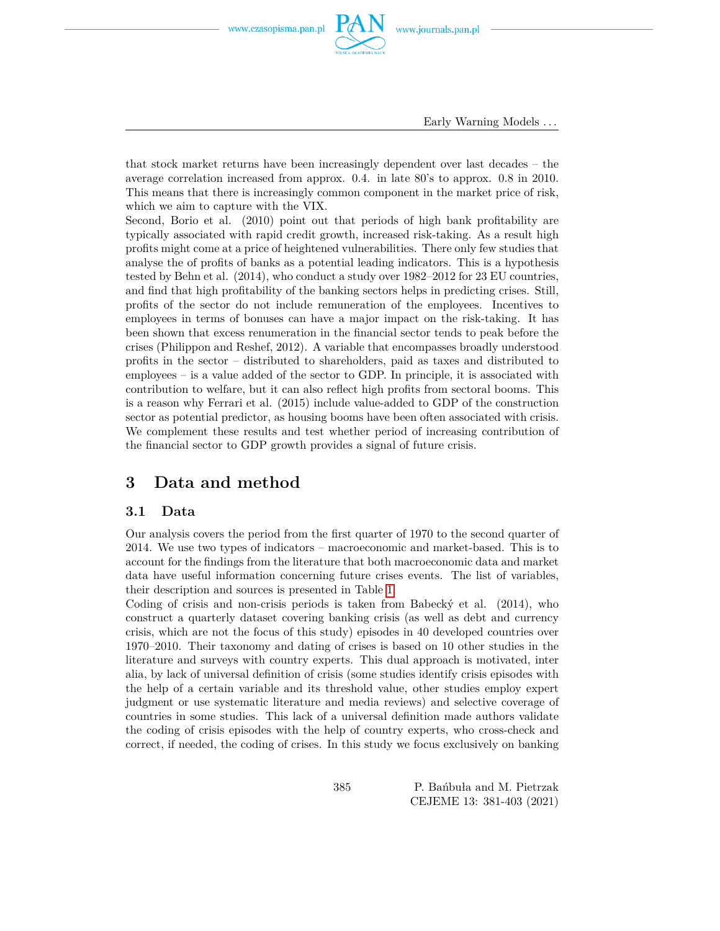

Early Warning Models *. . .*

that stock market returns have been increasingly dependent over last decades – the average correlation increased from approx. 0.4. in late 80's to approx. 0.8 in 2010. This means that there is increasingly common component in the market price of risk, which we aim to capture with the VIX.

Second, Borio et al. (2010) point out that periods of high bank profitability are typically associated with rapid credit growth, increased risk-taking. As a result high profits might come at a price of heightened vulnerabilities. There only few studies that analyse the of profits of banks as a potential leading indicators. This is a hypothesis tested by Behn et al. (2014), who conduct a study over 1982–2012 for 23 EU countries, and find that high profitability of the banking sectors helps in predicting crises. Still, profits of the sector do not include remuneration of the employees. Incentives to employees in terms of bonuses can have a major impact on the risk-taking. It has been shown that excess renumeration in the financial sector tends to peak before the crises (Philippon and Reshef, 2012). A variable that encompasses broadly understood profits in the sector – distributed to shareholders, paid as taxes and distributed to employees – is a value added of the sector to GDP. In principle, it is associated with contribution to welfare, but it can also reflect high profits from sectoral booms. This is a reason why Ferrari et al. (2015) include value-added to GDP of the construction sector as potential predictor, as housing booms have been often associated with crisis. We complement these results and test whether period of increasing contribution of the financial sector to GDP growth provides a signal of future crisis.

### <span id="page-4-0"></span>**3 Data and method**

#### **3.1 Data**

Our analysis covers the period from the first quarter of 1970 to the second quarter of 2014. We use two types of indicators – macroeconomic and market-based. This is to account for the findings from the literature that both macroeconomic data and market data have useful information concerning future crises events. The list of variables, their description and sources is presented in Table [1.](#page-5-0)

Coding of crisis and non-crisis periods is taken from Babecký et al. (2014), who construct a quarterly dataset covering banking crisis (as well as debt and currency crisis, which are not the focus of this study) episodes in 40 developed countries over 1970–2010. Their taxonomy and dating of crises is based on 10 other studies in the literature and surveys with country experts. This dual approach is motivated, inter alia, by lack of universal definition of crisis (some studies identify crisis episodes with the help of a certain variable and its threshold value, other studies employ expert judgment or use systematic literature and media reviews) and selective coverage of countries in some studies. This lack of a universal definition made authors validate the coding of crisis episodes with the help of country experts, who cross-check and correct, if needed, the coding of crises. In this study we focus exclusively on banking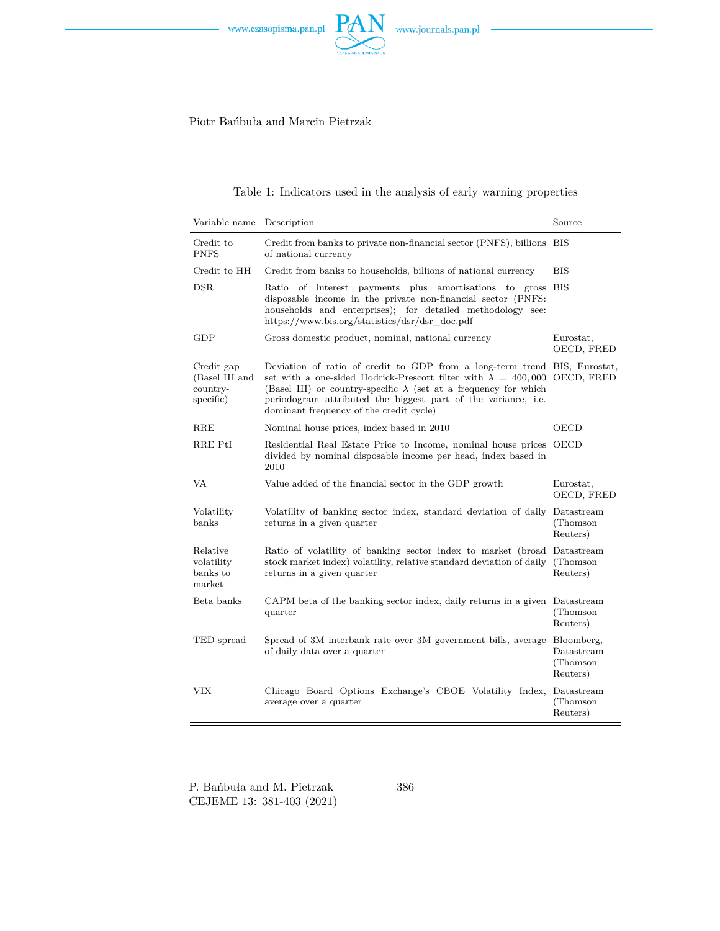

#### Table 1: Indicators used in the analysis of early warning properties

<span id="page-5-0"></span>

| Variable name                                         | Description                                                                                                                                                                                                                                                                                                                                          | Source                                            |
|-------------------------------------------------------|------------------------------------------------------------------------------------------------------------------------------------------------------------------------------------------------------------------------------------------------------------------------------------------------------------------------------------------------------|---------------------------------------------------|
| Credit to<br><b>PNFS</b>                              | Credit from banks to private non-financial sector (PNFS), billions BIS<br>of national currency                                                                                                                                                                                                                                                       |                                                   |
| Credit to HH                                          | Credit from banks to households, billions of national currency                                                                                                                                                                                                                                                                                       | <b>BIS</b>                                        |
| DSR                                                   | Ratio of interest payments plus amortisations to gross BIS<br>disposable income in the private non-financial sector (PNFS:<br>households and enterprises); for detailed methodology see:<br>https://www.bis.org/statistics/dsr/dsr doc.pdf                                                                                                           |                                                   |
| GDP                                                   | Gross domestic product, nominal, national currency                                                                                                                                                                                                                                                                                                   | Eurostat,<br>OECD, FRED                           |
| Credit gap<br>(Basel III and<br>country-<br>specific) | Deviation of ratio of credit to GDP from a long-term trend BIS, Eurostat,<br>set with a one-sided Hodrick-Prescott filter with $\lambda = 400,000$ OECD, FRED<br>(Basel III) or country-specific $\lambda$ (set at a frequency for which<br>periodogram attributed the biggest part of the variance, i.e.<br>dominant frequency of the credit cycle) |                                                   |
| RRE                                                   | Nominal house prices, index based in 2010                                                                                                                                                                                                                                                                                                            | OECD                                              |
| RRE PtI                                               | Residential Real Estate Price to Income, nominal house prices OECD<br>divided by nominal disposable income per head, index based in<br>2010                                                                                                                                                                                                          |                                                   |
| VA                                                    | Value added of the financial sector in the GDP growth                                                                                                                                                                                                                                                                                                | Eurostat,<br>OECD, FRED                           |
| Volatility<br>banks                                   | Volatility of banking sector index, standard deviation of daily Datastream<br>returns in a given quarter                                                                                                                                                                                                                                             | (Thomson)<br>Reuters)                             |
| Relative<br>volatility<br>banks to<br>market          | Ratio of volatility of banking sector index to market (broad Datastream<br>stock market index) volatility, relative standard deviation of daily (Thomson<br>returns in a given quarter                                                                                                                                                               | Reuters)                                          |
| Beta banks                                            | CAPM beta of the banking sector index, daily returns in a given Datastream<br>quarter                                                                                                                                                                                                                                                                | (Thomson)<br>Reuters)                             |
| TED spread                                            | Spread of 3M interbank rate over 3M government bills, average<br>of daily data over a quarter                                                                                                                                                                                                                                                        | Bloomberg,<br>Datastream<br>(Thomson)<br>Reuters) |
| VIX                                                   | Chicago Board Options Exchange's CBOE Volatility Index, Datastream<br>average over a quarter                                                                                                                                                                                                                                                         | (Thomson)<br>Reuters)                             |

P. Bańbuła and M. Pietrzak CEJEME 13: 381-403 (2021)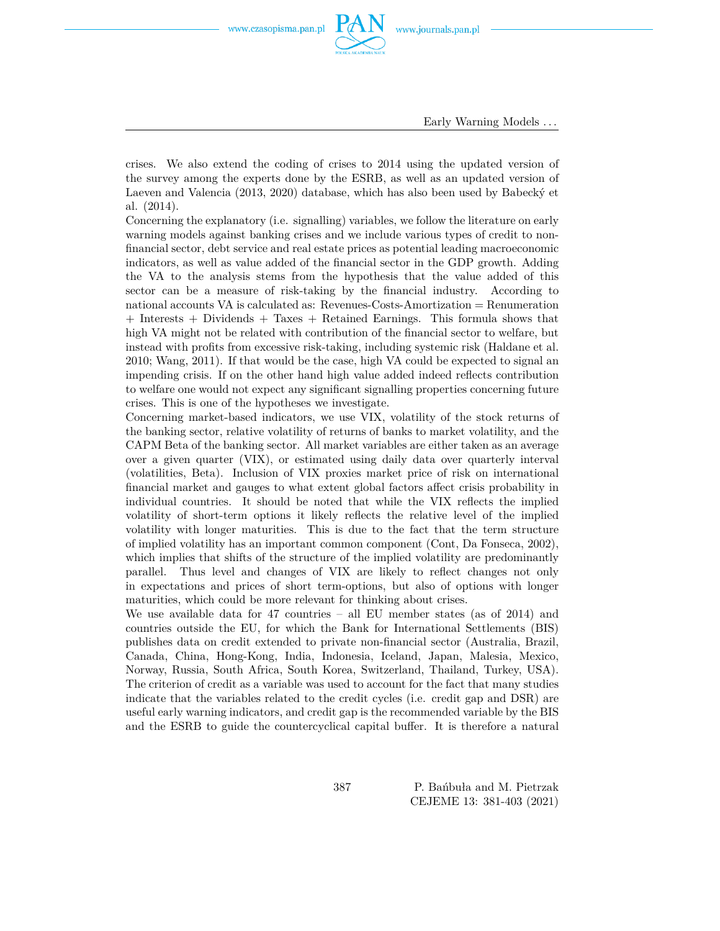

Early Warning Models *. . .*

crises. We also extend the coding of crises to 2014 using the updated version of the survey among the experts done by the ESRB, as well as an updated version of Laeven and Valencia (2013, 2020) database, which has also been used by Babecký et al. (2014).

Concerning the explanatory (i.e. signalling) variables, we follow the literature on early warning models against banking crises and we include various types of credit to nonfinancial sector, debt service and real estate prices as potential leading macroeconomic indicators, as well as value added of the financial sector in the GDP growth. Adding the VA to the analysis stems from the hypothesis that the value added of this sector can be a measure of risk-taking by the financial industry. According to national accounts VA is calculated as: Revenues-Costs-Amortization = Renumeration + Interests + Dividends + Taxes + Retained Earnings. This formula shows that high VA might not be related with contribution of the financial sector to welfare, but instead with profits from excessive risk-taking, including systemic risk (Haldane et al. 2010; Wang, 2011). If that would be the case, high VA could be expected to signal an impending crisis. If on the other hand high value added indeed reflects contribution to welfare one would not expect any significant signalling properties concerning future crises. This is one of the hypotheses we investigate.

Concerning market-based indicators, we use VIX, volatility of the stock returns of the banking sector, relative volatility of returns of banks to market volatility, and the CAPM Beta of the banking sector. All market variables are either taken as an average over a given quarter (VIX), or estimated using daily data over quarterly interval (volatilities, Beta). Inclusion of VIX proxies market price of risk on international financial market and gauges to what extent global factors affect crisis probability in individual countries. It should be noted that while the VIX reflects the implied volatility of short-term options it likely reflects the relative level of the implied volatility with longer maturities. This is due to the fact that the term structure of implied volatility has an important common component (Cont, Da Fonseca, 2002), which implies that shifts of the structure of the implied volatility are predominantly parallel. Thus level and changes of VIX are likely to reflect changes not only in expectations and prices of short term-options, but also of options with longer maturities, which could be more relevant for thinking about crises.

We use available data for 47 countries – all EU member states (as of 2014) and countries outside the EU, for which the Bank for International Settlements (BIS) publishes data on credit extended to private non-financial sector (Australia, Brazil, Canada, China, Hong-Kong, India, Indonesia, Iceland, Japan, Malesia, Mexico, Norway, Russia, South Africa, South Korea, Switzerland, Thailand, Turkey, USA). The criterion of credit as a variable was used to account for the fact that many studies indicate that the variables related to the credit cycles (i.e. credit gap and DSR) are useful early warning indicators, and credit gap is the recommended variable by the BIS and the ESRB to guide the countercyclical capital buffer. It is therefore a natural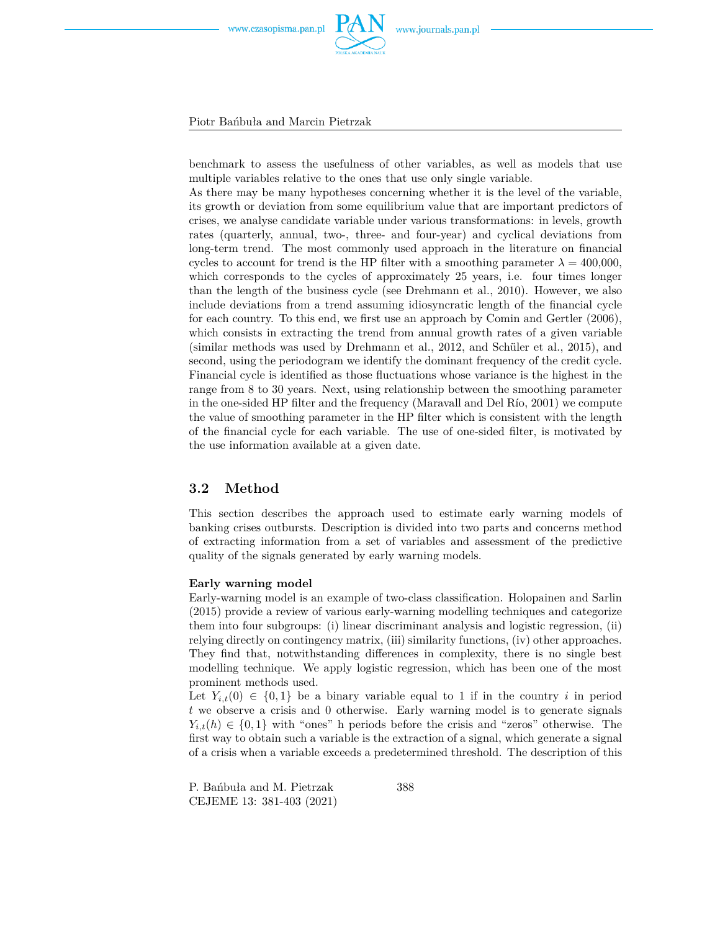

Piotr Bańbuła and Marcin Pietrzak

benchmark to assess the usefulness of other variables, as well as models that use multiple variables relative to the ones that use only single variable.

As there may be many hypotheses concerning whether it is the level of the variable, its growth or deviation from some equilibrium value that are important predictors of crises, we analyse candidate variable under various transformations: in levels, growth rates (quarterly, annual, two-, three- and four-year) and cyclical deviations from long-term trend. The most commonly used approach in the literature on financial cycles to account for trend is the HP filter with a smoothing parameter  $\lambda = 400,000$ , which corresponds to the cycles of approximately 25 years, i.e. four times longer than the length of the business cycle (see Drehmann et al., 2010). However, we also include deviations from a trend assuming idiosyncratic length of the financial cycle for each country. To this end, we first use an approach by Comin and Gertler (2006), which consists in extracting the trend from annual growth rates of a given variable (similar methods was used by Drehmann et al., 2012, and Schüler et al., 2015), and second, using the periodogram we identify the dominant frequency of the credit cycle. Financial cycle is identified as those fluctuations whose variance is the highest in the range from 8 to 30 years. Next, using relationship between the smoothing parameter in the one-sided HP filter and the frequency (Maravall and Del Río, 2001) we compute the value of smoothing parameter in the HP filter which is consistent with the length of the financial cycle for each variable. The use of one-sided filter, is motivated by the use information available at a given date.

#### **3.2 Method**

This section describes the approach used to estimate early warning models of banking crises outbursts. Description is divided into two parts and concerns method of extracting information from a set of variables and assessment of the predictive quality of the signals generated by early warning models.

#### **Early warning model**

Early-warning model is an example of two-class classification. Holopainen and Sarlin (2015) provide a review of various early-warning modelling techniques and categorize them into four subgroups: (i) linear discriminant analysis and logistic regression, (ii) relying directly on contingency matrix, (iii) similarity functions, (iv) other approaches. They find that, notwithstanding differences in complexity, there is no single best modelling technique. We apply logistic regression, which has been one of the most prominent methods used.

Let  $Y_{i,t}(0) \in \{0,1\}$  be a binary variable equal to 1 if in the country *i* in period *t* we observe a crisis and 0 otherwise. Early warning model is to generate signals  $Y_{i,t}(h) \in \{0,1\}$  with "ones" h periods before the crisis and "zeros" otherwise. The first way to obtain such a variable is the extraction of a signal, which generate a signal of a crisis when a variable exceeds a predetermined threshold. The description of this

P. Bańbuła and M. Pietrzak CEJEME 13: 381-403 (2021)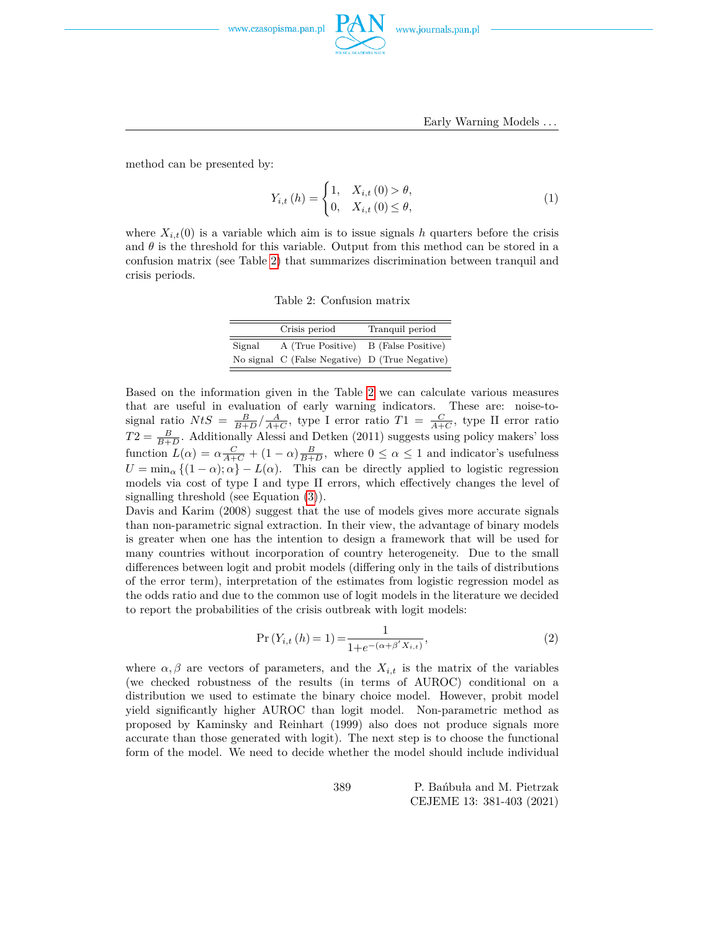

Early Warning Models *. . .*

method can be presented by:

$$
Y_{i,t}(h) = \begin{cases} 1, & X_{i,t}(0) > \theta, \\ 0, & X_{i,t}(0) \le \theta, \end{cases}
$$
 (1)

<span id="page-8-0"></span>where  $X_{i,t}(0)$  is a variable which aim is to issue signals *h* quarters before the crisis and  $\theta$  is the threshold for this variable. Output from this method can be stored in a confusion matrix (see Table [2\)](#page-8-0) that summarizes discrimination between tranquil and crisis periods.

Table 2: Confusion matrix

|        | Crisis period                                  | Tranquil period    |
|--------|------------------------------------------------|--------------------|
| Signal | A (True Positive)                              | B (False Positive) |
|        | No signal C (False Negative) D (True Negative) |                    |

Based on the information given in the Table [2](#page-8-0) we can calculate various measures that are useful in evaluation of early warning indicators. These are: noise-tosignal ratio  $NtS = \frac{B}{B+D}/\frac{A}{A+C}$ , type I error ratio  $T1 = \frac{C}{A+C}$ , type II error ratio  $T2 = \frac{B}{B+D}$ . Additionally Alessi and Detken (2011) suggests using policy makers' loss function  $L(\alpha) = \alpha \frac{C}{A+C} + (1-\alpha) \frac{B}{B+D}$ , where  $0 \le \alpha \le 1$  and indicator's usefulness  $U = \min_{\alpha} \{ (1 - \alpha); \alpha \} - L(\alpha)$ . This can be directly applied to logistic regression models via cost of type I and type II errors, which effectively changes the level of signalling threshold (see Equation [\(3\)](#page-10-1)).

Davis and Karim (2008) suggest that the use of models gives more accurate signals than non-parametric signal extraction. In their view, the advantage of binary models is greater when one has the intention to design a framework that will be used for many countries without incorporation of country heterogeneity. Due to the small differences between logit and probit models (differing only in the tails of distributions of the error term), interpretation of the estimates from logistic regression model as the odds ratio and due to the common use of logit models in the literature we decided to report the probabilities of the crisis outbreak with logit models:

$$
Pr(Y_{i,t} (h) = 1) = \frac{1}{1 + e^{-(\alpha + \beta' X_{i,t})}},
$$
\n(2)

where  $\alpha, \beta$  are vectors of parameters, and the  $X_{i,t}$  is the matrix of the variables (we checked robustness of the results (in terms of AUROC) conditional on a distribution we used to estimate the binary choice model. However, probit model yield significantly higher AUROC than logit model. Non-parametric method as proposed by Kaminsky and Reinhart (1999) also does not produce signals more accurate than those generated with logit). The next step is to choose the functional form of the model. We need to decide whether the model should include individual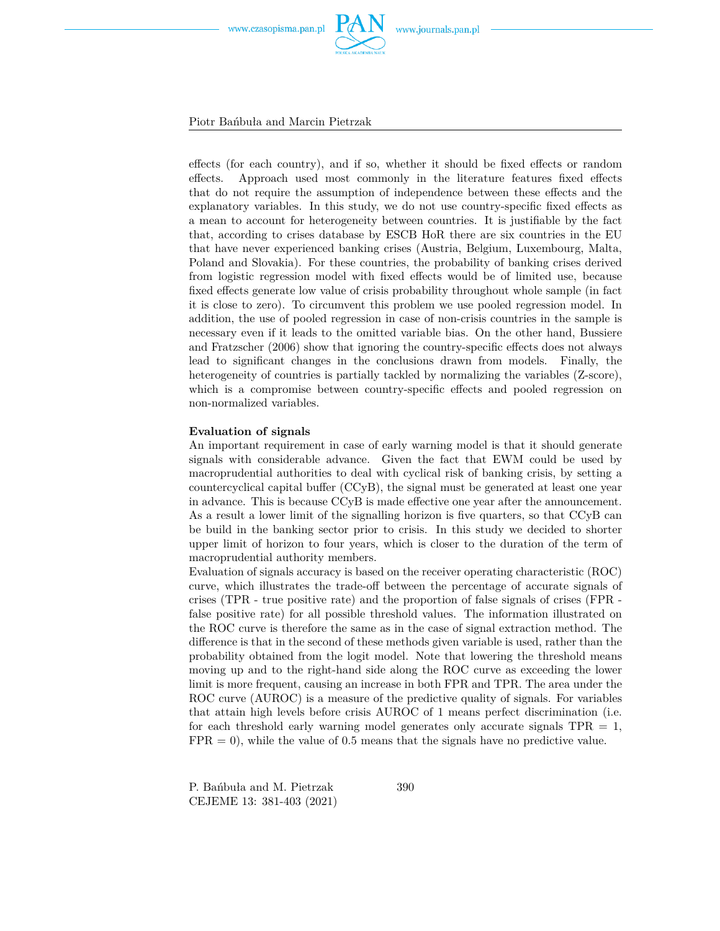

Piotr Bańbuła and Marcin Pietrzak

effects (for each country), and if so, whether it should be fixed effects or random effects. Approach used most commonly in the literature features fixed effects that do not require the assumption of independence between these effects and the explanatory variables. In this study, we do not use country-specific fixed effects as a mean to account for heterogeneity between countries. It is justifiable by the fact that, according to crises database by ESCB HoR there are six countries in the EU that have never experienced banking crises (Austria, Belgium, Luxembourg, Malta, Poland and Slovakia). For these countries, the probability of banking crises derived from logistic regression model with fixed effects would be of limited use, because fixed effects generate low value of crisis probability throughout whole sample (in fact it is close to zero). To circumvent this problem we use pooled regression model. In addition, the use of pooled regression in case of non-crisis countries in the sample is necessary even if it leads to the omitted variable bias. On the other hand, Bussiere and Fratzscher (2006) show that ignoring the country-specific effects does not always lead to significant changes in the conclusions drawn from models. Finally, the heterogeneity of countries is partially tackled by normalizing the variables (Z-score), which is a compromise between country-specific effects and pooled regression on non-normalized variables.

#### **Evaluation of signals**

An important requirement in case of early warning model is that it should generate signals with considerable advance. Given the fact that EWM could be used by macroprudential authorities to deal with cyclical risk of banking crisis, by setting a countercyclical capital buffer (CCyB), the signal must be generated at least one year in advance. This is because CCyB is made effective one year after the announcement. As a result a lower limit of the signalling horizon is five quarters, so that CCyB can be build in the banking sector prior to crisis. In this study we decided to shorter upper limit of horizon to four years, which is closer to the duration of the term of macroprudential authority members.

Evaluation of signals accuracy is based on the receiver operating characteristic (ROC) curve, which illustrates the trade-off between the percentage of accurate signals of crises (TPR - true positive rate) and the proportion of false signals of crises (FPR false positive rate) for all possible threshold values. The information illustrated on the ROC curve is therefore the same as in the case of signal extraction method. The difference is that in the second of these methods given variable is used, rather than the probability obtained from the logit model. Note that lowering the threshold means moving up and to the right-hand side along the ROC curve as exceeding the lower limit is more frequent, causing an increase in both FPR and TPR. The area under the ROC curve (AUROC) is a measure of the predictive quality of signals. For variables that attain high levels before crisis AUROC of 1 means perfect discrimination (i.e. for each threshold early warning model generates only accurate signals  $TPR = 1$ ,  $FPR = 0$ , while the value of 0.5 means that the signals have no predictive value.

P. Bańbuła and M. Pietrzak CEJEME 13: 381-403 (2021)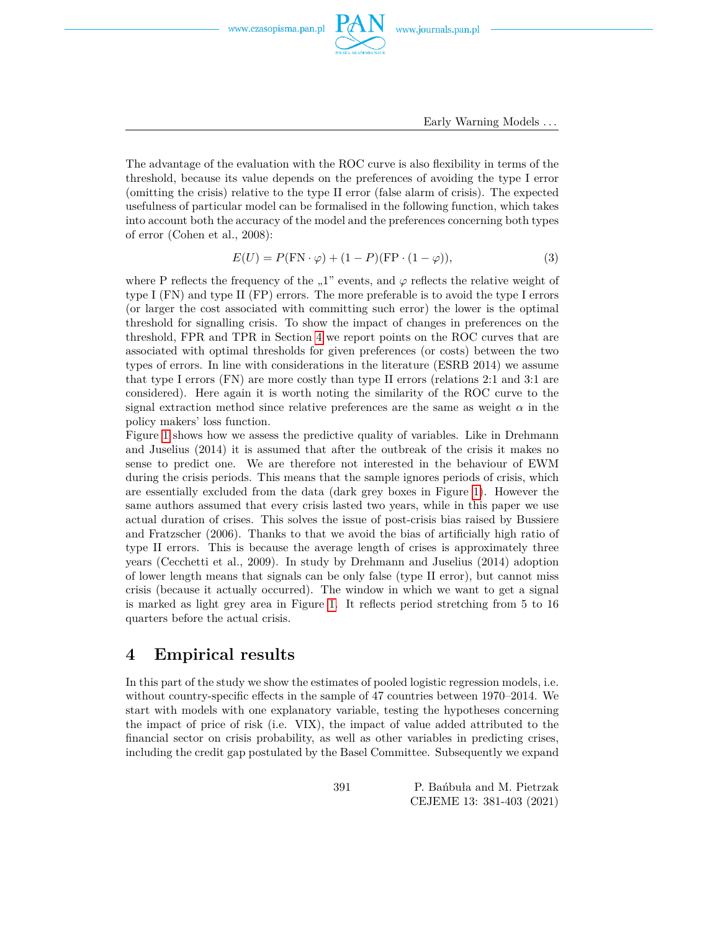

Early Warning Models *. . .*

The advantage of the evaluation with the ROC curve is also flexibility in terms of the threshold, because its value depends on the preferences of avoiding the type I error (omitting the crisis) relative to the type II error (false alarm of crisis). The expected usefulness of particular model can be formalised in the following function, which takes into account both the accuracy of the model and the preferences concerning both types of error (Cohen et al., 2008):

<span id="page-10-1"></span>
$$
E(U) = P(\text{FN} \cdot \varphi) + (1 - P)(\text{FP} \cdot (1 - \varphi)),\tag{3}
$$

where P reflects the frequency of the "1" events, and  $\varphi$  reflects the relative weight of type I (FN) and type II (FP) errors. The more preferable is to avoid the type I errors (or larger the cost associated with committing such error) the lower is the optimal threshold for signalling crisis. To show the impact of changes in preferences on the threshold, FPR and TPR in Section [4](#page-10-0) we report points on the ROC curves that are associated with optimal thresholds for given preferences (or costs) between the two types of errors. In line with considerations in the literature (ESRB 2014) we assume that type I errors (FN) are more costly than type II errors (relations 2:1 and 3:1 are considered). Here again it is worth noting the similarity of the ROC curve to the signal extraction method since relative preferences are the same as weight  $\alpha$  in the policy makers' loss function.

Figure [1](#page-11-0) shows how we assess the predictive quality of variables. Like in Drehmann and Juselius (2014) it is assumed that after the outbreak of the crisis it makes no sense to predict one. We are therefore not interested in the behaviour of EWM during the crisis periods. This means that the sample ignores periods of crisis, which are essentially excluded from the data (dark grey boxes in Figure [1\)](#page-11-0). However the same authors assumed that every crisis lasted two years, while in this paper we use actual duration of crises. This solves the issue of post-crisis bias raised by Bussiere and Fratzscher (2006). Thanks to that we avoid the bias of artificially high ratio of type II errors. This is because the average length of crises is approximately three years (Cecchetti et al., 2009). In study by Drehmann and Juselius (2014) adoption of lower length means that signals can be only false (type II error), but cannot miss crisis (because it actually occurred). The window in which we want to get a signal is marked as light grey area in Figure [1.](#page-11-0) It reflects period stretching from 5 to 16 quarters before the actual crisis.

### <span id="page-10-0"></span>**4 Empirical results**

In this part of the study we show the estimates of pooled logistic regression models, i.e. without country-specific effects in the sample of 47 countries between 1970–2014. We start with models with one explanatory variable, testing the hypotheses concerning the impact of price of risk (i.e. VIX), the impact of value added attributed to the financial sector on crisis probability, as well as other variables in predicting crises, including the credit gap postulated by the Basel Committee. Subsequently we expand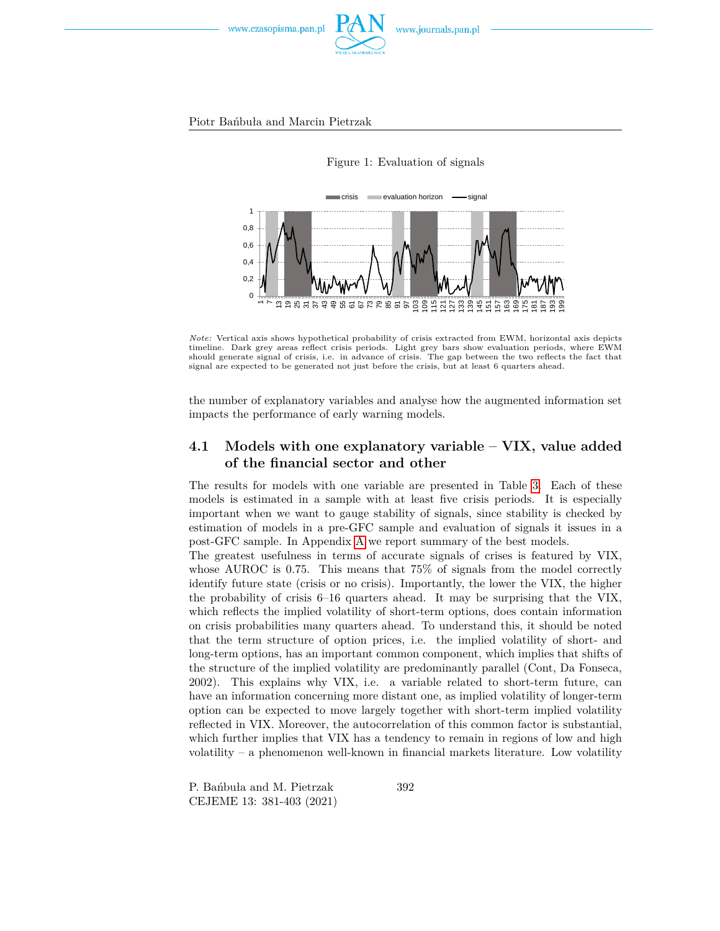



<span id="page-11-0"></span>

*Note:* Vertical axis shows hypothetical probability of crisis extracted from EWM, horizontal axis depicts timeline. Dark grey areas reflect crisis periods. Light grey bars show evaluation periods, where EWM should generate signal of crisis, i.e. in advance of crisis. The gap between the two reflects the fact that signal are expected to be generated not just before the crisis, but at least 6 quarters ahead.

the number of explanatory variables and analyse how the augmented information set impacts the performance of early warning models.

### **4.1 Models with one explanatory variable – VIX, value added of the financial sector and other**

The results for models with one variable are presented in Table [3.](#page-14-0) Each of these models is estimated in a sample with at least five crisis periods. It is especially important when we want to gauge stability of signals, since stability is checked by estimation of models in a pre-GFC sample and evaluation of signals it issues in a post-GFC sample. In Appendix [A](#page-22-0) we report summary of the best models.

The greatest usefulness in terms of accurate signals of crises is featured by VIX, whose AUROC is 0.75. This means that 75% of signals from the model correctly identify future state (crisis or no crisis). Importantly, the lower the VIX, the higher the probability of crisis 6–16 quarters ahead. It may be surprising that the VIX, which reflects the implied volatility of short-term options, does contain information on crisis probabilities many quarters ahead. To understand this, it should be noted that the term structure of option prices, i.e. the implied volatility of short- and long-term options, has an important common component, which implies that shifts of the structure of the implied volatility are predominantly parallel (Cont, Da Fonseca, 2002). This explains why VIX, i.e. a variable related to short-term future, can have an information concerning more distant one, as implied volatility of longer-term option can be expected to move largely together with short-term implied volatility reflected in VIX. Moreover, the autocorrelation of this common factor is substantial, which further implies that VIX has a tendency to remain in regions of low and high volatility – a phenomenon well-known in financial markets literature. Low volatility

P. Bańbuła and M. Pietrzak CEJEME 13: 381-403 (2021)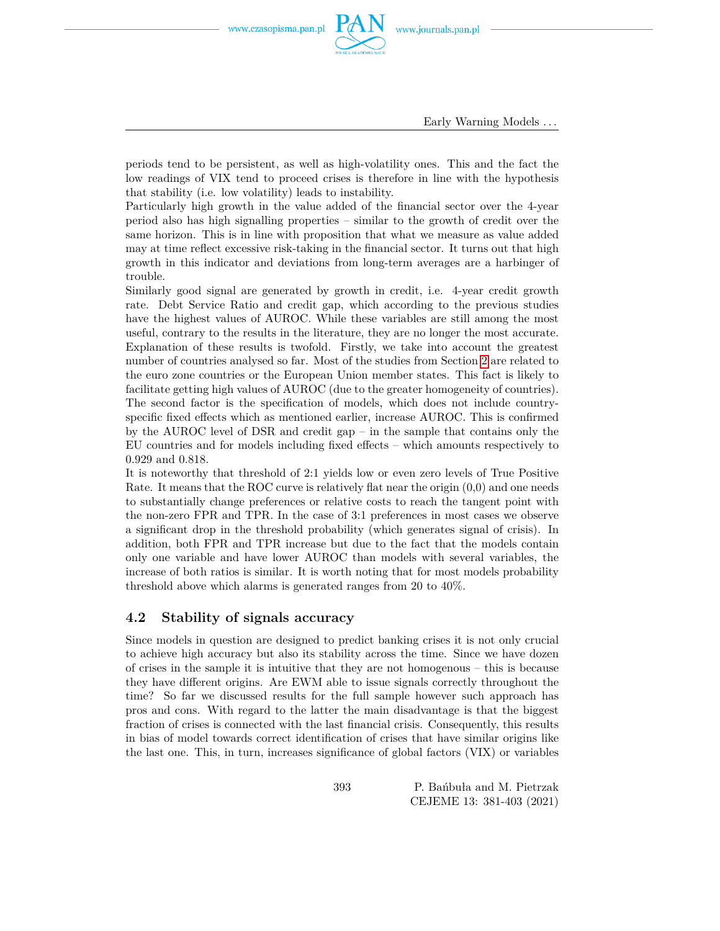

Early Warning Models *. . .*

periods tend to be persistent, as well as high-volatility ones. This and the fact the low readings of VIX tend to proceed crises is therefore in line with the hypothesis that stability (i.e. low volatility) leads to instability.

Particularly high growth in the value added of the financial sector over the 4-year period also has high signalling properties – similar to the growth of credit over the same horizon. This is in line with proposition that what we measure as value added may at time reflect excessive risk-taking in the financial sector. It turns out that high growth in this indicator and deviations from long-term averages are a harbinger of trouble.

Similarly good signal are generated by growth in credit, i.e. 4-year credit growth rate. Debt Service Ratio and credit gap, which according to the previous studies have the highest values of AUROC. While these variables are still among the most useful, contrary to the results in the literature, they are no longer the most accurate. Explanation of these results is twofold. Firstly, we take into account the greatest number of countries analysed so far. Most of the studies from Section [2](#page-2-0) are related to the euro zone countries or the European Union member states. This fact is likely to facilitate getting high values of AUROC (due to the greater homogeneity of countries). The second factor is the specification of models, which does not include countryspecific fixed effects which as mentioned earlier, increase AUROC. This is confirmed by the AUROC level of DSR and credit gap – in the sample that contains only the EU countries and for models including fixed effects – which amounts respectively to 0.929 and 0.818.

It is noteworthy that threshold of 2:1 yields low or even zero levels of True Positive Rate. It means that the ROC curve is relatively flat near the origin (0,0) and one needs to substantially change preferences or relative costs to reach the tangent point with the non-zero FPR and TPR. In the case of 3:1 preferences in most cases we observe a significant drop in the threshold probability (which generates signal of crisis). In addition, both FPR and TPR increase but due to the fact that the models contain only one variable and have lower AUROC than models with several variables, the increase of both ratios is similar. It is worth noting that for most models probability threshold above which alarms is generated ranges from 20 to 40%.

#### **4.2 Stability of signals accuracy**

Since models in question are designed to predict banking crises it is not only crucial to achieve high accuracy but also its stability across the time. Since we have dozen of crises in the sample it is intuitive that they are not homogenous – this is because they have different origins. Are EWM able to issue signals correctly throughout the time? So far we discussed results for the full sample however such approach has pros and cons. With regard to the latter the main disadvantage is that the biggest fraction of crises is connected with the last financial crisis. Consequently, this results in bias of model towards correct identification of crises that have similar origins like the last one. This, in turn, increases significance of global factors (VIX) or variables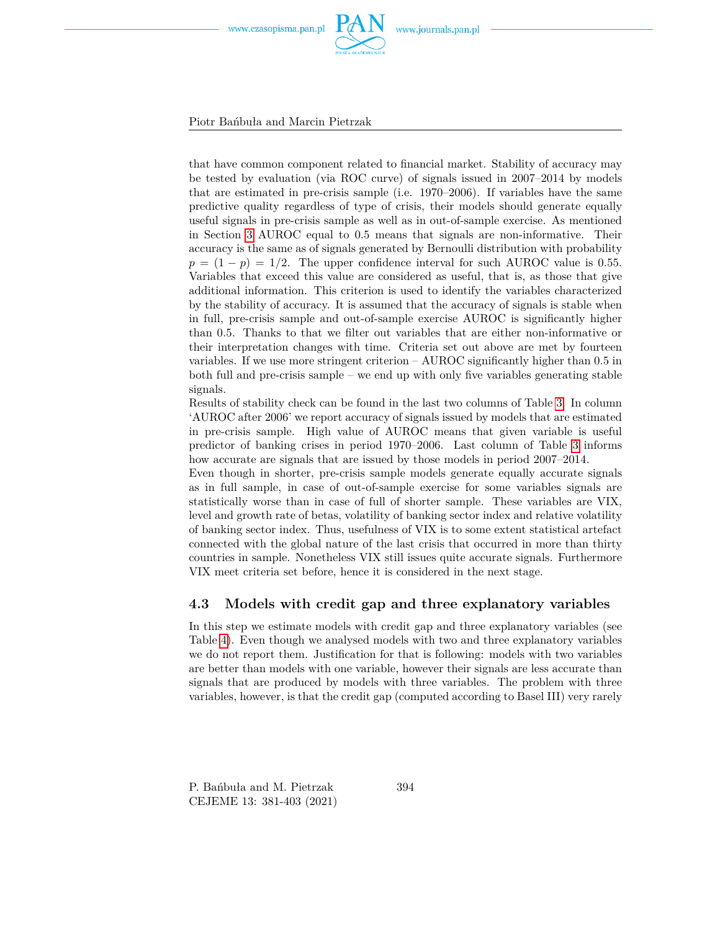

Piotr Bańbuła and Marcin Pietrzak

that have common component related to financial market. Stability of accuracy may be tested by evaluation (via ROC curve) of signals issued in 2007–2014 by models that are estimated in pre-crisis sample (i.e. 1970–2006). If variables have the same predictive quality regardless of type of crisis, their models should generate equally useful signals in pre-crisis sample as well as in out-of-sample exercise. As mentioned in Section [3](#page-4-0) AUROC equal to 0.5 means that signals are non-informative. Their accuracy is the same as of signals generated by Bernoulli distribution with probability  $p = (1 - p) = 1/2$ . The upper confidence interval for such AUROC value is 0.55. Variables that exceed this value are considered as useful, that is, as those that give additional information. This criterion is used to identify the variables characterized by the stability of accuracy. It is assumed that the accuracy of signals is stable when in full, pre-crisis sample and out-of-sample exercise AUROC is significantly higher than 0.5. Thanks to that we filter out variables that are either non-informative or their interpretation changes with time. Criteria set out above are met by fourteen variables. If we use more stringent criterion – AUROC significantly higher than 0.5 in both full and pre-crisis sample – we end up with only five variables generating stable signals.

Results of stability check can be found in the last two columns of Table [3.](#page-14-0) In column 'AUROC after 2006' we report accuracy of signals issued by models that are estimated in pre-crisis sample. High value of AUROC means that given variable is useful predictor of banking crises in period 1970–2006. Last column of Table [3](#page-14-0) informs how accurate are signals that are issued by those models in period 2007–2014.

Even though in shorter, pre-crisis sample models generate equally accurate signals as in full sample, in case of out-of-sample exercise for some variables signals are statistically worse than in case of full of shorter sample. These variables are VIX, level and growth rate of betas, volatility of banking sector index and relative volatility of banking sector index. Thus, usefulness of VIX is to some extent statistical artefact connected with the global nature of the last crisis that occurred in more than thirty countries in sample. Nonetheless VIX still issues quite accurate signals. Furthermore VIX meet criteria set before, hence it is considered in the next stage.

#### **4.3 Models with credit gap and three explanatory variables**

In this step we estimate models with credit gap and three explanatory variables (see Table [4\)](#page-15-0). Even though we analysed models with two and three explanatory variables we do not report them. Justification for that is following: models with two variables are better than models with one variable, however their signals are less accurate than signals that are produced by models with three variables. The problem with three variables, however, is that the credit gap (computed according to Basel III) very rarely

P. Bańbuła and M. Pietrzak CEJEME 13: 381-403 (2021)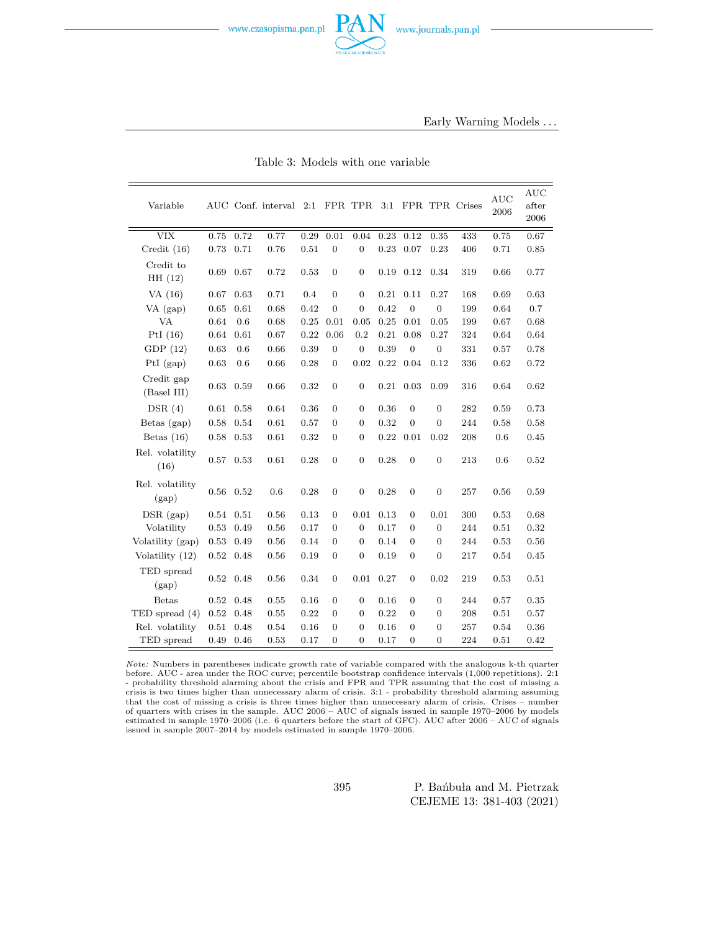Table 3: Models with one variable

<span id="page-14-0"></span>

| Variable                  |            |      | AUC Conf. interval 2:1 |      |                  | FPR TPR          | 3:1  |                  |                  | FPR TPR Crises | <b>AUC</b><br>2006 | <b>AUC</b><br>after<br>2006 |
|---------------------------|------------|------|------------------------|------|------------------|------------------|------|------------------|------------------|----------------|--------------------|-----------------------------|
| <b>VIX</b>                | 0.75       | 0.72 | 0.77                   | 0.29 | 0.01             | 0.04             | 0.23 | 0.12             | 0.35             | 433            | 0.75               | 0.67                        |
| Credit $(16)$             | 0.73       | 0.71 | 0.76                   | 0.51 | $\overline{0}$   | $\overline{0}$   | 0.23 | 0.07             | 0.23             | 406            | 0.71               | 0.85                        |
| Credit to<br>HH(12)       | 0.69       | 0.67 | 0.72                   | 0.53 | $\mathbf{0}$     | $\overline{0}$   | 0.19 | 0.12             | 0.34             | 319            | 0.66               | 0.77                        |
| VA $(16)$                 | 0.67       | 0.63 | 0.71                   | 0.4  | $\overline{0}$   | $\overline{0}$   | 0.21 | 0.11             | 0.27             | 168            | 0.69               | 0.63                        |
| $VA$ (gap)                | 0.65       | 0.61 | 0.68                   | 0.42 | $\overline{0}$   | $\overline{0}$   | 0.42 | $\mathbf{0}$     | $\overline{0}$   | 199            | 0.64               | 0.7                         |
| <b>VA</b>                 | 0.64       | 0.6  | 0.68                   | 0.25 | 0.01             | 0.05             | 0.25 | 0.01             | 0.05             | 199            | 0.67               | 0.68                        |
| PtI $(16)$                | 0.64       | 0.61 | 0.67                   | 0.22 | 0.06             | 0.2              | 0.21 | 0.08             | 0.27             | 324            | 0.64               | 0.64                        |
| GDP(12)                   | 0.63       | 0.6  | 0.66                   | 0.39 | $\mathbf{0}$     | $\boldsymbol{0}$ | 0.39 | $\mathbf{0}$     | $\mathbf{0}$     | 331            | 0.57               | 0.78                        |
| $PtI$ (gap)               | 0.63       | 0.6  | 0.66                   | 0.28 | 0                | 0.02             | 0.22 | 0.04             | 0.12             | 336            | 0.62               | 0.72                        |
| Credit gap<br>(Basel III) | 0.63       | 0.59 | 0.66                   | 0.32 | $\mathbf{0}$     | $\boldsymbol{0}$ | 0.21 | 0.03             | 0.09             | 316            | 0.64               | 0.62                        |
| DSR(4)                    | 0.61       | 0.58 | 0.64                   | 0.36 | 0                | 0                | 0.36 | $\boldsymbol{0}$ | 0                | 282            | 0.59               | 0.73                        |
| Betas (gap)               | 0.58       | 0.54 | 0.61                   | 0.57 | $\overline{0}$   | $\overline{0}$   | 0.32 | $\overline{0}$   | $\overline{0}$   | 244            | 0.58               | 0.58                        |
| Betas $(16)$              | 0.58       | 0.53 | 0.61                   | 0.32 | $\mathbf{0}$     | $\overline{0}$   | 0.22 | 0.01             | 0.02             | 208            | 0.6                | 0.45                        |
| Rel. volatility<br>(16)   | 0.57       | 0.53 | 0.61                   | 0.28 | $\overline{0}$   | $\boldsymbol{0}$ | 0.28 | $\overline{0}$   | $\overline{0}$   | 213            | 0.6                | 0.52                        |
| Rel. volatility<br>(gap)  | 0.56       | 0.52 | 0.6                    | 0.28 | $\mathbf{0}$     | $\boldsymbol{0}$ | 0.28 | $\boldsymbol{0}$ | $\boldsymbol{0}$ | 257            | 0.56               | 0.59                        |
| DSR (gap)                 | 0.54       | 0.51 | 0.56                   | 0.13 | $\mathbf{0}$     | 0.01             | 0.13 | 0                | 0.01             | 300            | 0.53               | 0.68                        |
| Volatility                | 0.53       | 0.49 | 0.56                   | 0.17 | $\mathbf{0}$     | $\overline{0}$   | 0.17 | 0                | $\overline{0}$   | 244            | 0.51               | 0.32                        |
| Volatility (gap)          | 0.53       | 0.49 | 0.56                   | 0.14 | $\overline{0}$   | $\overline{0}$   | 0.14 | $\boldsymbol{0}$ | $\mathbf{0}$     | 244            | 0.53               | 0.56                        |
| Volatility (12)           | 0.52       | 0.48 | 0.56                   | 0.19 | $\mathbf{0}$     | $\boldsymbol{0}$ | 0.19 | $\boldsymbol{0}$ | $\mathbf{0}$     | 217            | 0.54               | 0.45                        |
| TED spread<br>(gap)       | 0.52       | 0.48 | 0.56                   | 0.34 | $\boldsymbol{0}$ | 0.01             | 0.27 | $\boldsymbol{0}$ | 0.02             | 219            | 0.53               | 0.51                        |
| <b>Betas</b>              | 0.52       | 0.48 | 0.55                   | 0.16 | $\overline{0}$   | $\overline{0}$   | 0.16 | $\boldsymbol{0}$ | $\overline{0}$   | 244            | 0.57               | 0.35                        |
| TED spread (4)            | $\rm 0.52$ | 0.48 | 0.55                   | 0.22 | $\mathbf{0}$     | $\mathbf{0}$     | 0.22 | 0                | $\overline{0}$   | 208            | 0.51               | 0.57                        |
| Rel. volatility           | 0.51       | 0.48 | 0.54                   | 0.16 | $\mathbf{0}$     | $\overline{0}$   | 0.16 | $\boldsymbol{0}$ | $\overline{0}$   | 257            | 0.54               | 0.36                        |
| TED spread                | 0.49       | 0.46 | 0.53                   | 0.17 | $\mathbf{0}$     | $\overline{0}$   | 0.17 | $\boldsymbol{0}$ | $\mathbf{0}$     | 224            | 0.51               | 0.42                        |

*Note:* Numbers in parentheses indicate growth rate of variable compared with the analogous k-th quarter before. AUC - area under the ROC curve; percentile bootstrap confidence intervals (1,000 repetitions). 2:1 - probability threshold alarming about the crisis and FPR and TPR assuming that the cost of missing a crisis is two times higher than unnecessary alarm of crisis. 3:1 - probability threshold alarming assuming that the cost of missing a crisis is three times higher than unnecessary alarm of crisis. Crises – number of quarters with crises in the sample. AUC 2006 – AUC of signals issued in sample 1970–2006 by models estimated in sample 1970–2006 (i.e. 6 quarters before the start of GFC). AUC after 2006 – AUC of signals issued in sample 2007–2014 by models estimated in sample 1970–2006.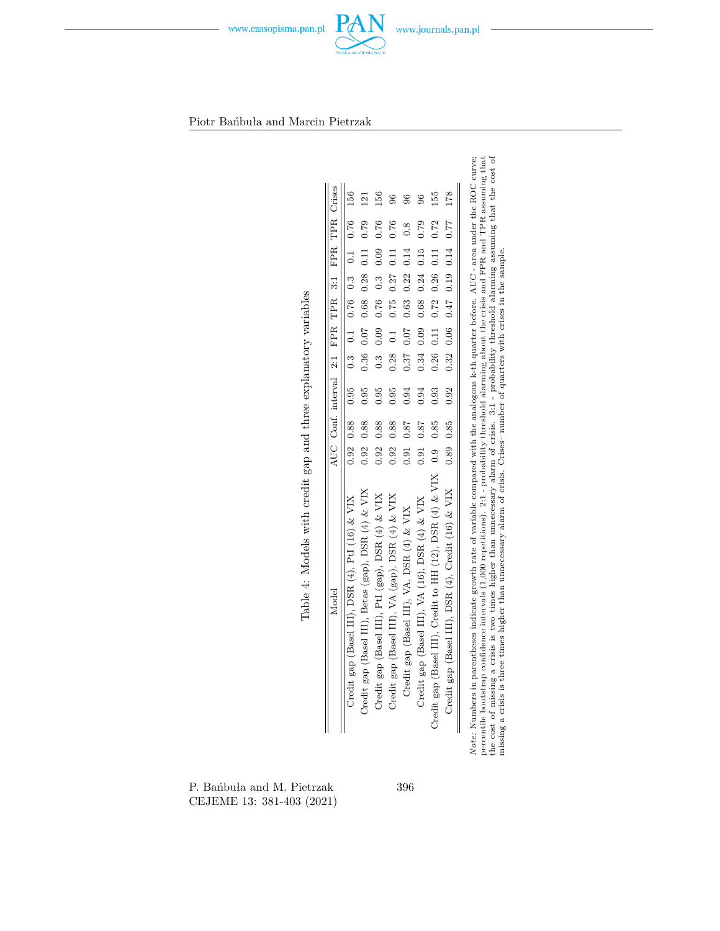

<span id="page-15-0"></span>Piotr Bańbuła and Marcin Pietrzak

|                                                          |      |               | AUC Conf. interval 2:1 FPR TPR 3:1 FPR TPR Crises         |      |                  |                                           |                      |                  |                 |
|----------------------------------------------------------|------|---------------|-----------------------------------------------------------|------|------------------|-------------------------------------------|----------------------|------------------|-----------------|
| Credit gap (Basel III), DSR (4), PtI (16) & VIX          |      |               | $0.92$ $0.88$ $0.3$ $0.3$ $0.76$ $0.3$ $0.1$ $0.76$ $156$ |      |                  |                                           |                      |                  |                 |
| Credit gap (Basel III), Betas (gap), DSR (4) & VIX       |      | $0.92 \ 0.88$ | 0.95                                                      |      |                  | $0.36$ $0.07$ $0.68$ $0.28$ $0.11$        |                      | 0.79             | $\overline{21}$ |
| Credit gap (Basel III), PtI (gap), DSR (4) & VIX         | 0.92 | 0.88          | 0.95                                                      |      |                  | $0.3$ 0.09 0.76 0.3 0.09                  |                      | 0.76             | 156             |
| Credit gap (Basel III), VA (gap), DSR (4) & VIX          | 0.92 | 0.88          | 0.95                                                      | 0.28 | $\overline{0.1}$ | 0.75                                      | $0.27$ $0.11$        | 0.76             | 96              |
| Credit gap (Basel III), VA, DSR (4) & VIX                |      | 0.91 0.87     | 0.94                                                      |      | $0.37$ $0.07$    | 0.63                                      | 0.22 0.14            | $\overline{0.8}$ | $\frac{6}{2}$   |
| Credit gap (Basel III), VA (16), DSR (4) & VIX           | 0.91 | 0.87          | 0.94                                                      |      |                  | $0.34$ $0.09$ 0.68                        | $0.24$ $0.15$        | 0.79             | $\overline{96}$ |
| Credit gap (Basel III), Credit to HH (12), DSR (4) & VIX |      | $0.9 \t0.85$  | 0.93                                                      |      | $0.26$ $0.11$    |                                           | $0.72$ $0.26$ $0.11$ | 0.72             | 55              |
| Credit gap (Basel III), DSR (4), Credit (16) & VIX       |      | $0.89$ 0.85   | 0.92                                                      |      |                  | $0.32$ $0.06$ $0.47$ $0.19$ $0.14$ $0.77$ |                      |                  | 178             |

P. Bańbuła and M. Pietrzak CEJEME 13: 381-403 (2021)

396

 $P_d$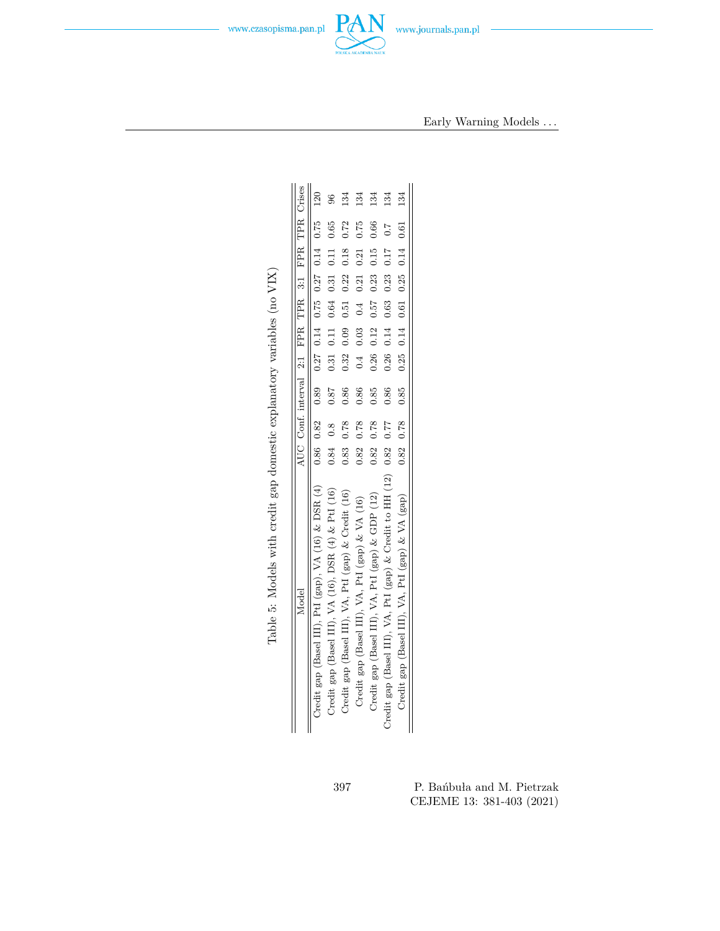

Early Warning Models *. . .*

<span id="page-16-0"></span>

| Model                                                          |            |      | AUC Conf. interval 2:1 FPR TPR 3:1 FPR TPR Crises                    |      |                                           |  |      |     |
|----------------------------------------------------------------|------------|------|----------------------------------------------------------------------|------|-------------------------------------------|--|------|-----|
| Credit gap (Basel III), PtI (gap), VA (16) & DSR (4)           |            |      | $0.86$ $0.82$ $0.89$ $0.27$ $0.14$ $0.75$ $0.27$ $0.14$ $0.75$ $120$ |      |                                           |  |      |     |
| Credit gap (Basel III), VA (16), DSR (4) & PtI (16)            | $0.84$ 0.8 |      | 0.87                                                                 |      | $0.31$ $0.11$ $0.64$ $0.31$ $0.11$ $0.65$ |  |      | 96  |
| Credit gap (Basel III), VA, PtI (gap) & Credit (16)            | 0.83       | 0.78 | 0.86                                                                 | 0.32 | $0.09$ $0.51$ $0.22$ $0.18$               |  | 0.72 | 134 |
| Credit gap (Basel III), VA, PtI (gap) & VA (16)                | 0.82       | 0.78 | 0.86                                                                 |      | $0.4$ 0.03 0.4 0.21 0.21                  |  | 0.75 | 134 |
| Credit gap (Basel III), VA, PtI (gap) & GDP (12)               | 0.82       | 0.78 | 0.85                                                                 | 0.26 | $0.12$ $0.57$ $0.23$ $0.15$ $0.66$        |  |      | 134 |
| Credit gap (Basel III), VA, PtI (gap) & Credit to HH (12) 0.82 |            | 0.77 | 0.86                                                                 |      | $0.26$ $0.14$ $0.63$ $0.23$ $0.17$ $0.7$  |  |      | 134 |
| Credit gap (Basel III), VA, PtI (gap) & VA (gap)               |            |      | $0.82$ $0.78$ $0.85$ $0.25$ $0.14$ $0.61$ $0.25$ $0.14$ $0.61$       |      |                                           |  |      | 134 |

| 397 | P. Banbula and M. Pietrzak |
|-----|----------------------------|
|     | CEJEME 13: 381-403 (2021)  |

Table 5: Models with credit gap domestic explanatory variables (no  ${\rm VIX})$ Table 5: Models with credit gap domestic explanatory variables (no VIX)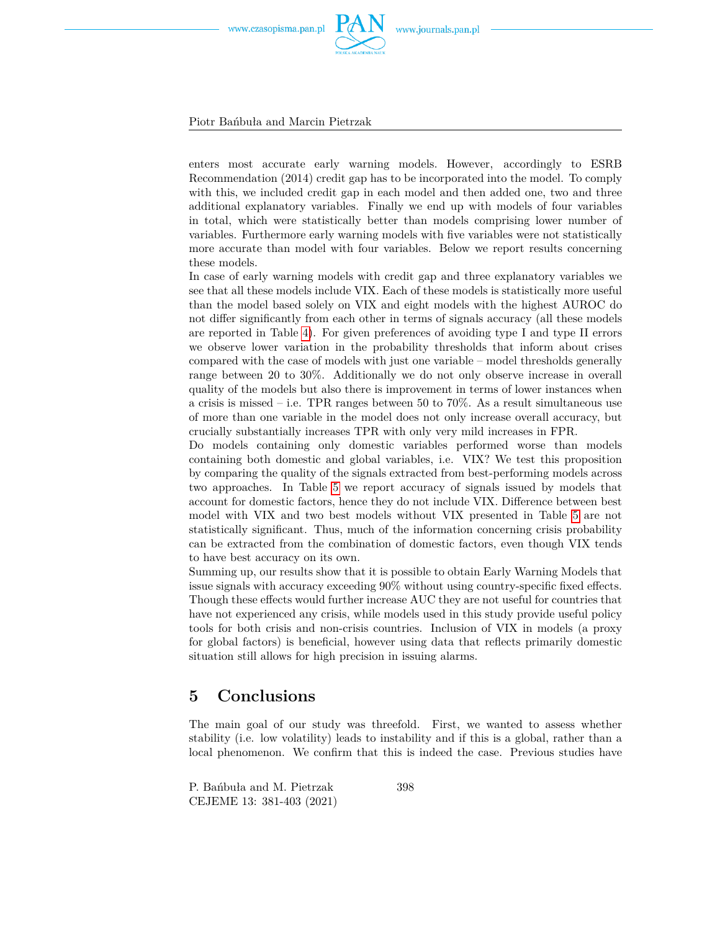

Piotr Bańbuła and Marcin Pietrzak

enters most accurate early warning models. However, accordingly to ESRB Recommendation (2014) credit gap has to be incorporated into the model. To comply with this, we included credit gap in each model and then added one, two and three additional explanatory variables. Finally we end up with models of four variables in total, which were statistically better than models comprising lower number of variables. Furthermore early warning models with five variables were not statistically more accurate than model with four variables. Below we report results concerning these models.

In case of early warning models with credit gap and three explanatory variables we see that all these models include VIX. Each of these models is statistically more useful than the model based solely on VIX and eight models with the highest AUROC do not differ significantly from each other in terms of signals accuracy (all these models are reported in Table [4\)](#page-15-0). For given preferences of avoiding type I and type II errors we observe lower variation in the probability thresholds that inform about crises compared with the case of models with just one variable – model thresholds generally range between 20 to 30%. Additionally we do not only observe increase in overall quality of the models but also there is improvement in terms of lower instances when a crisis is missed – i.e. TPR ranges between 50 to  $70\%$ . As a result simultaneous use of more than one variable in the model does not only increase overall accuracy, but crucially substantially increases TPR with only very mild increases in FPR.

Do models containing only domestic variables performed worse than models containing both domestic and global variables, i.e. VIX? We test this proposition by comparing the quality of the signals extracted from best-performing models across two approaches. In Table [5](#page-16-0) we report accuracy of signals issued by models that account for domestic factors, hence they do not include VIX. Difference between best model with VIX and two best models without VIX presented in Table [5](#page-16-0) are not statistically significant. Thus, much of the information concerning crisis probability can be extracted from the combination of domestic factors, even though VIX tends to have best accuracy on its own.

Summing up, our results show that it is possible to obtain Early Warning Models that issue signals with accuracy exceeding 90% without using country-specific fixed effects. Though these effects would further increase AUC they are not useful for countries that have not experienced any crisis, while models used in this study provide useful policy tools for both crisis and non-crisis countries. Inclusion of VIX in models (a proxy for global factors) is beneficial, however using data that reflects primarily domestic situation still allows for high precision in issuing alarms.

### **5 Conclusions**

The main goal of our study was threefold. First, we wanted to assess whether stability (i.e. low volatility) leads to instability and if this is a global, rather than a local phenomenon. We confirm that this is indeed the case. Previous studies have

P. Bańbuła and M. Pietrzak CEJEME 13: 381-403 (2021)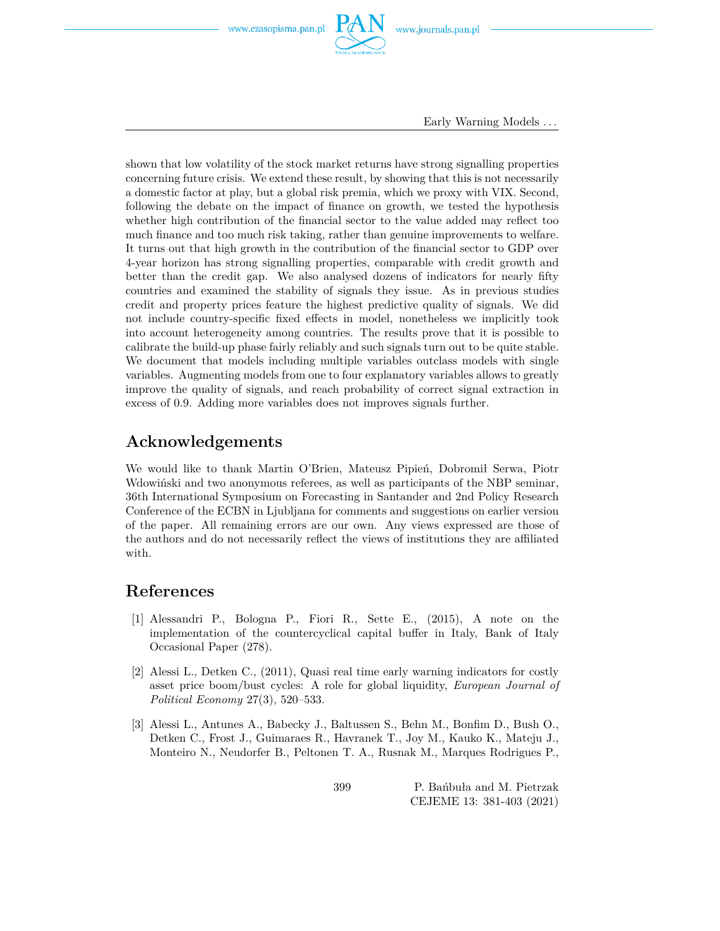

Early Warning Models *. . .*

shown that low volatility of the stock market returns have strong signalling properties concerning future crisis. We extend these result, by showing that this is not necessarily a domestic factor at play, but a global risk premia, which we proxy with VIX. Second, following the debate on the impact of finance on growth, we tested the hypothesis whether high contribution of the financial sector to the value added may reflect too much finance and too much risk taking, rather than genuine improvements to welfare. It turns out that high growth in the contribution of the financial sector to GDP over 4-year horizon has strong signalling properties, comparable with credit growth and better than the credit gap. We also analysed dozens of indicators for nearly fifty countries and examined the stability of signals they issue. As in previous studies credit and property prices feature the highest predictive quality of signals. We did not include country-specific fixed effects in model, nonetheless we implicitly took into account heterogeneity among countries. The results prove that it is possible to calibrate the build-up phase fairly reliably and such signals turn out to be quite stable. We document that models including multiple variables outclass models with single variables. Augmenting models from one to four explanatory variables allows to greatly improve the quality of signals, and reach probability of correct signal extraction in excess of 0.9. Adding more variables does not improves signals further.

### **Acknowledgements**

We would like to thank Martin O'Brien, Mateusz Pipień, Dobromił Serwa, Piotr Wdowiński and two anonymous referees, as well as participants of the NBP seminar, 36th International Symposium on Forecasting in Santander and 2nd Policy Research Conference of the ECBN in Ljubljana for comments and suggestions on earlier version of the paper. All remaining errors are our own. Any views expressed are those of the authors and do not necessarily reflect the views of institutions they are affiliated with.

### **References**

- [1] Alessandri P., Bologna P., Fiori R., Sette E., (2015), A note on the implementation of the countercyclical capital buffer in Italy, Bank of Italy Occasional Paper (278).
- [2] Alessi L., Detken C., (2011), Quasi real time early warning indicators for costly asset price boom/bust cycles: A role for global liquidity, *European Journal of Political Economy* 27(3), 520–533.
- [3] Alessi L., Antunes A., Babecky J., Baltussen S., Behn M., Bonfim D., Bush O., Detken C., Frost J., Guimaraes R., Havranek T., Joy M., Kauko K., Mateju J., Monteiro N., Neudorfer B., Peltonen T. A., Rusnak M., Marques Rodrigues P.,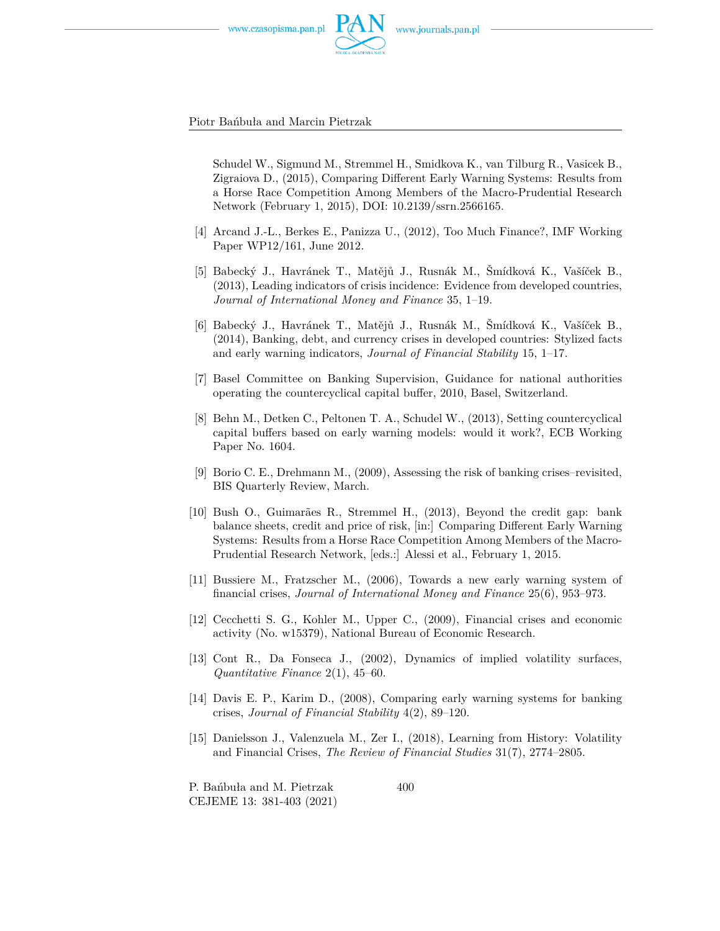



Piotr Bańbuła and Marcin Pietrzak

Schudel W., Sigmund M., Stremmel H., Smidkova K., van Tilburg R., Vasicek B., Zigraiova D., (2015), Comparing Different Early Warning Systems: Results from a Horse Race Competition Among Members of the Macro-Prudential Research Network (February 1, 2015), DOI: 10.2139/ssrn.2566165.

- [4] Arcand J.-L., Berkes E., Panizza U., (2012), Too Much Finance?, IMF Working Paper WP12/161, June 2012.
- [5] Babecký J., Havránek T., Matějů J., Rusnák M., Šmídková K., Vašíček B., (2013), Leading indicators of crisis incidence: Evidence from developed countries, *Journal of International Money and Finance* 35, 1–19.
- [6] Babecký J., Havránek T., Matějů J., Rusnák M., Šmídková K., Vašíček B., (2014), Banking, debt, and currency crises in developed countries: Stylized facts and early warning indicators, *Journal of Financial Stability* 15, 1–17.
- [7] Basel Committee on Banking Supervision, Guidance for national authorities operating the countercyclical capital buffer, 2010, Basel, Switzerland.
- [8] Behn M., Detken C., Peltonen T. A., Schudel W., (2013), Setting countercyclical capital buffers based on early warning models: would it work?, ECB Working Paper No. 1604.
- [9] Borio C. E., Drehmann M., (2009), Assessing the risk of banking crises–revisited, BIS Quarterly Review, March.
- [10] Bush O., Guimarães R., Stremmel H., (2013), Beyond the credit gap: bank balance sheets, credit and price of risk, [in:] Comparing Different Early Warning Systems: Results from a Horse Race Competition Among Members of the Macro-Prudential Research Network, [eds.:] Alessi et al., February 1, 2015.
- [11] Bussiere M., Fratzscher M., (2006), Towards a new early warning system of financial crises, *Journal of International Money and Finance* 25(6), 953–973.
- [12] Cecchetti S. G., Kohler M., Upper C., (2009), Financial crises and economic activity (No. w15379), National Bureau of Economic Research.
- [13] Cont R., Da Fonseca J., (2002), Dynamics of implied volatility surfaces, *Quantitative Finance* 2(1), 45–60.
- [14] Davis E. P., Karim D., (2008), Comparing early warning systems for banking crises, *Journal of Financial Stability* 4(2), 89–120.
- [15] Danielsson J., Valenzuela M., Zer I., (2018), Learning from History: Volatility and Financial Crises, *The Review of Financial Studies* 31(7), 2774–2805.

P. Bańbuła and M. Pietrzak CEJEME 13: 381-403 (2021)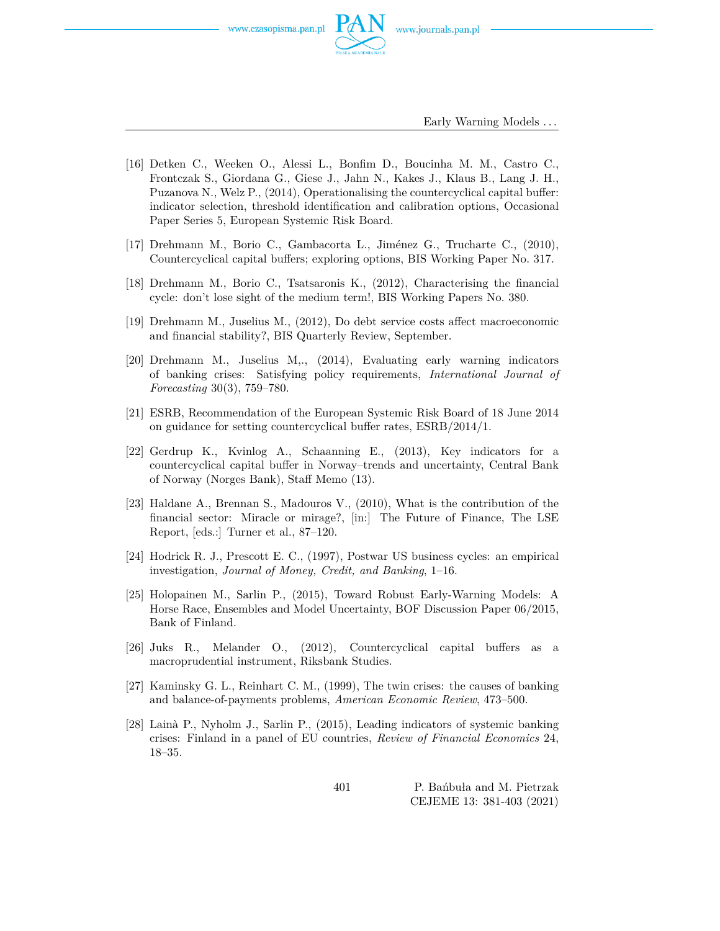

Early Warning Models *. . .*

- [16] Detken C., Weeken O., Alessi L., Bonfim D., Boucinha M. M., Castro C., Frontczak S., Giordana G., Giese J., Jahn N., Kakes J., Klaus B., Lang J. H., Puzanova N., Welz P., (2014), Operationalising the countercyclical capital buffer: indicator selection, threshold identification and calibration options, Occasional Paper Series 5, European Systemic Risk Board.
- [17] Drehmann M., Borio C., Gambacorta L., Jiménez G., Trucharte C., (2010), Countercyclical capital buffers; exploring options, BIS Working Paper No. 317.
- [18] Drehmann M., Borio C., Tsatsaronis K., (2012), Characterising the financial cycle: don't lose sight of the medium term!, BIS Working Papers No. 380.
- [19] Drehmann M., Juselius M., (2012), Do debt service costs affect macroeconomic and financial stability?, BIS Quarterly Review, September.
- [20] Drehmann M., Juselius M,., (2014), Evaluating early warning indicators of banking crises: Satisfying policy requirements, *International Journal of Forecasting* 30(3), 759–780.
- [21] ESRB, Recommendation of the European Systemic Risk Board of 18 June 2014 on guidance for setting countercyclical buffer rates, ESRB/2014/1.
- [22] Gerdrup K., Kvinlog A., Schaanning E., (2013), Key indicators for a countercyclical capital buffer in Norway–trends and uncertainty, Central Bank of Norway (Norges Bank), Staff Memo (13).
- [23] Haldane A., Brennan S., Madouros V., (2010), What is the contribution of the financial sector: Miracle or mirage?, [in:] The Future of Finance, The LSE Report, [eds.:] Turner et al., 87–120.
- [24] Hodrick R. J., Prescott E. C., (1997), Postwar US business cycles: an empirical investigation, *Journal of Money, Credit, and Banking*, 1–16.
- [25] Holopainen M., Sarlin P., (2015), Toward Robust Early-Warning Models: A Horse Race, Ensembles and Model Uncertainty, BOF Discussion Paper 06/2015, Bank of Finland.
- [26] Juks R., Melander O., (2012), Countercyclical capital buffers as a macroprudential instrument, Riksbank Studies.
- [27] Kaminsky G. L., Reinhart C. M., (1999), The twin crises: the causes of banking and balance-of-payments problems, *American Economic Review*, 473–500.
- [28] Lainà P., Nyholm J., Sarlin P., (2015), Leading indicators of systemic banking crises: Finland in a panel of EU countries, *Review of Financial Economics* 24, 18–35.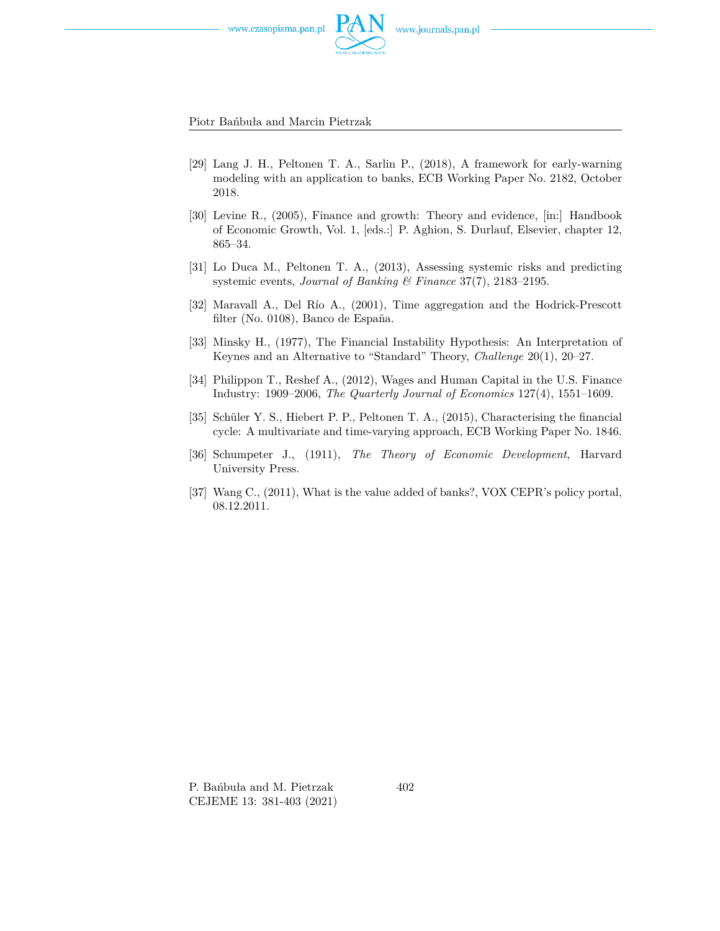



Piotr Bańbuła and Marcin Pietrzak

- [29] Lang J. H., Peltonen T. A., Sarlin P., (2018), A framework for early-warning modeling with an application to banks, ECB Working Paper No. 2182, October 2018.
- [30] Levine R., (2005), Finance and growth: Theory and evidence, [in:] Handbook of Economic Growth, Vol. 1, [eds.:] P. Aghion, S. Durlauf, Elsevier, chapter 12, 865–34.
- [31] Lo Duca M., Peltonen T. A., (2013), Assessing systemic risks and predicting systemic events, *Journal of Banking & Finance* 37(7), 2183–2195.
- [32] Maravall A., Del Río A., (2001), Time aggregation and the Hodrick-Prescott filter (No. 0108), Banco de España.
- [33] Minsky H., (1977), The Financial Instability Hypothesis: An Interpretation of Keynes and an Alternative to "Standard" Theory, *Challenge* 20(1), 20–27.
- [34] Philippon T., Reshef A., (2012), Wages and Human Capital in the U.S. Finance Industry: 1909–2006, *The Quarterly Journal of Economics* 127(4), 1551–1609.
- [35] Schüler Y. S., Hiebert P. P., Peltonen T. A., (2015), Characterising the financial cycle: A multivariate and time-varying approach, ECB Working Paper No. 1846.
- [36] Schumpeter J., (1911), *The Theory of Economic Development*, Harvard University Press.
- [37] Wang C., (2011), What is the value added of banks?, VOX CEPR's policy portal, 08.12.2011.

P. Bańbuła and M. Pietrzak CEJEME 13: 381-403 (2021)